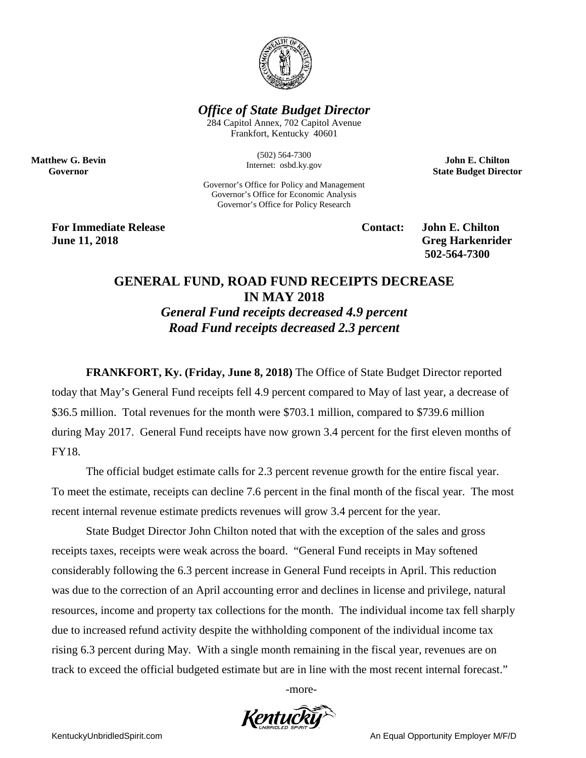

*Office of State Budget Director*

284 Capitol Annex, 702 Capitol Avenue Frankfort, Kentucky 40601

> (502) 564-7300 Internet: osbd.ky.gov

Governor's Office for Policy and Management Governor's Office for Economic Analysis Governor's Office for Policy Research

**John E. Chilton State Budget Director**

**For Immediate Release Contact: John E. Chilton June 11, 2018 Greg Harkenrider Greg Harkenrider Greg Harkenrider** 

**Matthew G. Bevin Governor**

**502-564-7300** 

## **GENERAL FUND, ROAD FUND RECEIPTS DECREASE IN MAY 2018** *General Fund receipts decreased 4.9 percent Road Fund receipts decreased 2.3 percent*

**FRANKFORT, Ky. (Friday, June 8, 2018)** The Office of State Budget Director reported today that May's General Fund receipts fell 4.9 percent compared to May of last year, a decrease of \$36.5 million. Total revenues for the month were \$703.1 million, compared to \$739.6 million during May 2017. General Fund receipts have now grown 3.4 percent for the first eleven months of FY18.

The official budget estimate calls for 2.3 percent revenue growth for the entire fiscal year. To meet the estimate, receipts can decline 7.6 percent in the final month of the fiscal year. The most recent internal revenue estimate predicts revenues will grow 3.4 percent for the year.

State Budget Director John Chilton noted that with the exception of the sales and gross receipts taxes, receipts were weak across the board. "General Fund receipts in May softened considerably following the 6.3 percent increase in General Fund receipts in April. This reduction was due to the correction of an April accounting error and declines in license and privilege, natural resources, income and property tax collections for the month. The individual income tax fell sharply due to increased refund activity despite the withholding component of the individual income tax rising 6.3 percent during May. With a single month remaining in the fiscal year, revenues are on track to exceed the official budgeted estimate but are in line with the most recent internal forecast."

-more-



KentuckyUnbridledSpirit.com **An Equal Opportunity Employer M/F/D** An Equal Opportunity Employer M/F/D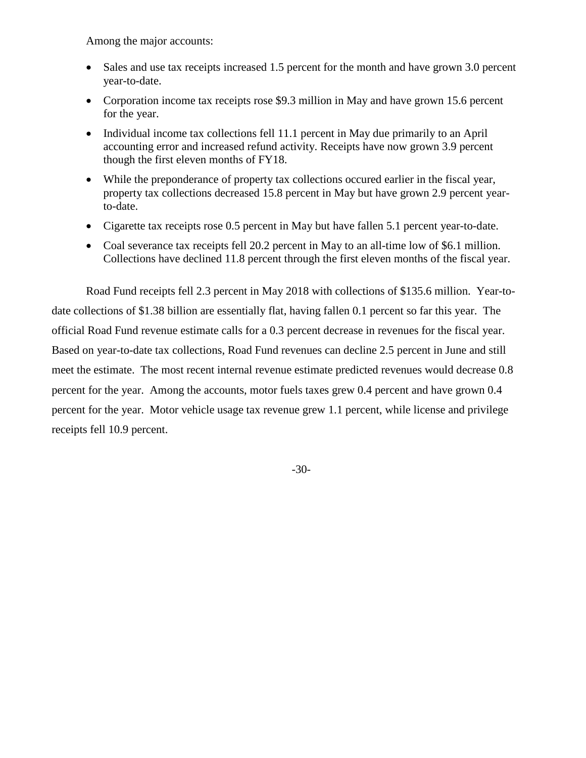Among the major accounts:

- Sales and use tax receipts increased 1.5 percent for the month and have grown 3.0 percent year-to-date.
- Corporation income tax receipts rose \$9.3 million in May and have grown 15.6 percent for the year.
- Individual income tax collections fell 11.1 percent in May due primarily to an April accounting error and increased refund activity. Receipts have now grown 3.9 percent though the first eleven months of FY18.
- While the preponderance of property tax collections occured earlier in the fiscal year, property tax collections decreased 15.8 percent in May but have grown 2.9 percent yearto-date.
- Cigarette tax receipts rose 0.5 percent in May but have fallen 5.1 percent year-to-date.
- Coal severance tax receipts fell 20.2 percent in May to an all-time low of \$6.1 million. Collections have declined 11.8 percent through the first eleven months of the fiscal year.

Road Fund receipts fell 2.3 percent in May 2018 with collections of \$135.6 million. Year-todate collections of \$1.38 billion are essentially flat, having fallen 0.1 percent so far this year. The official Road Fund revenue estimate calls for a 0.3 percent decrease in revenues for the fiscal year. Based on year-to-date tax collections, Road Fund revenues can decline 2.5 percent in June and still meet the estimate. The most recent internal revenue estimate predicted revenues would decrease 0.8 percent for the year. Among the accounts, motor fuels taxes grew 0.4 percent and have grown 0.4 percent for the year. Motor vehicle usage tax revenue grew 1.1 percent, while license and privilege receipts fell 10.9 percent.

-30-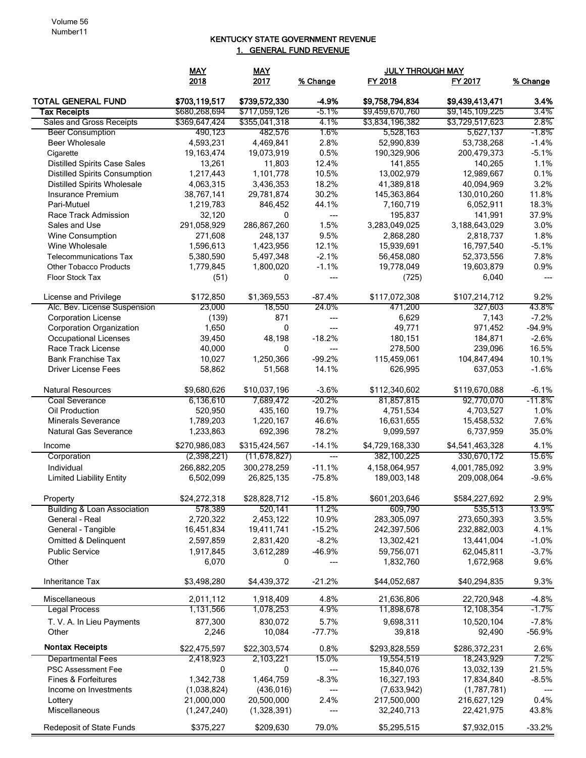## KENTUCKY STATE GOVERNMENT REVENUE 1. GENERAL FUND REVENUE

|                                           | <b>MAY</b>                     | <b>MAY</b>                     |                  | <b>JULY THROUGH MAY</b>            |                                    |                     |  |
|-------------------------------------------|--------------------------------|--------------------------------|------------------|------------------------------------|------------------------------------|---------------------|--|
|                                           | 2018                           | 2017                           | % Change         | FY 2018                            | FY 2017                            | % Change            |  |
| <b>TOTAL GENERAL FUND</b><br>Tax Receipts | \$703,119,517<br>\$680,268,694 | \$739,572,330<br>\$717,059,126 | $-4.9%$<br>-5.1% | \$9,758,794,834<br>\$9,459,670,760 | \$9,439,413,471<br>\$9,145,109,225 | 3.4%<br>3.4%        |  |
| Sales and Gross Receipts                  | \$369,647,424                  | \$355,041,318                  | 4.1%             | \$3,834,196,382                    | \$3,729,517,623                    | 2.8%                |  |
| <b>Beer Consumption</b>                   | 490,123                        | 482,576                        | 1.6%             | 5,528,163                          | 5,627,137                          | -1.8%               |  |
| Beer Wholesale                            | 4,593,231                      | 4,469,841                      | 2.8%             | 52,990,839                         | 53,738,268                         | $-1.4%$             |  |
| Cigarette                                 | 19,163,474                     | 19,073,919                     | 0.5%             | 190,329,906                        | 200,479,373                        | $-5.1%$             |  |
| <b>Distilled Spirits Case Sales</b>       | 13,261                         | 11,803                         | 12.4%            | 141.855                            | 140,265                            | 1.1%                |  |
| <b>Distilled Spirits Consumption</b>      | 1,217,443                      | 1,101,778                      | 10.5%            | 13,002,979                         | 12,989,667                         | 0.1%                |  |
| <b>Distilled Spirits Wholesale</b>        | 4,063,315                      | 3,436,353                      | 18.2%            | 41,389,818                         | 40,094,969                         | 3.2%                |  |
| <b>Insurance Premium</b>                  | 38,767,141                     | 29,781,874                     | 30.2%            | 145,363,864                        | 130,010,260                        | 11.8%               |  |
| Pari-Mutuel                               | 1,219,783                      | 846,452                        | 44.1%            | 7,160,719                          | 6,052,911                          | 18.3%               |  |
| Race Track Admission                      | 32,120                         | 0                              | ---              | 195,837                            | 141,991                            | 37.9%               |  |
| Sales and Use                             | 291,058,929                    | 286,867,260                    | 1.5%             | 3,283,049,025                      | 3,188,643,029                      | 3.0%                |  |
| Wine Consumption                          | 271,608                        | 248,137                        | 9.5%             | 2,868,280                          | 2,818,737                          | 1.8%                |  |
| Wine Wholesale                            | 1,596,613                      | 1,423,956                      | 12.1%            | 15,939,691                         | 16,797,540                         | $-5.1%$             |  |
| <b>Telecommunications Tax</b>             | 5,380,590                      | 5,497,348                      | $-2.1%$          | 56,458,080                         | 52,373,556                         | 7.8%                |  |
| <b>Other Tobacco Products</b>             | 1,779,845                      | 1,800,020                      | $-1.1%$          | 19,778,049                         | 19,603,879                         | 0.9%                |  |
| <b>Floor Stock Tax</b>                    |                                | 0                              | ---              |                                    |                                    | $\overline{a}$      |  |
|                                           | (51)                           |                                |                  | (725)                              | 6,040                              |                     |  |
| License and Privilege                     | \$172,850                      | \$1,369,553                    | $-87.4%$         | \$117,072,308                      | \$107,214,712                      | 9.2%                |  |
| Alc. Bev. License Suspension              | 23,000                         | 18,550                         | 24.0%            | 471,200                            | 327,603                            | 43.8%               |  |
| <b>Corporation License</b>                | (139)                          | 871                            | ---              | 6,629                              | 7,143                              | $-7.2%$             |  |
| <b>Corporation Organization</b>           | 1,650                          | $\mathbf 0$                    | $---$            | 49,771                             | 971,452                            | $-94.9%$            |  |
| <b>Occupational Licenses</b>              | 39,450                         | 48,198                         | $-18.2%$         | 180,151                            | 184,871                            | $-2.6%$             |  |
| Race Track License                        | 40,000                         | 0                              | ---              | 278,500                            | 239,096                            | 16.5%               |  |
| <b>Bank Franchise Tax</b>                 | 10,027                         | 1,250,366                      | $-99.2%$         | 115,459,061                        | 104,847,494                        | 10.1%               |  |
| <b>Driver License Fees</b>                | 58,862                         | 51,568                         | 14.1%            | 626,995                            | 637,053                            | $-1.6%$             |  |
| <b>Natural Resources</b>                  | \$9,680,626                    | \$10,037,196                   | $-3.6%$          | \$112,340,602                      | \$119,670,088                      | $-6.1%$             |  |
| Coal Severance                            | 6,136,610                      | 7,689,472                      | $-20.2%$         | 81,857,815                         | 92,770,070                         | -11.8%              |  |
| Oil Production                            | 520,950                        | 435,160                        | 19.7%            | 4,751,534                          | 4,703,527                          | 1.0%                |  |
| <b>Minerals Severance</b>                 | 1,789,203                      | 1,220,167                      | 46.6%            | 16,631,655                         | 15,458,532                         | 7.6%                |  |
| <b>Natural Gas Severance</b>              | 1,233,863                      | 692,396                        | 78.2%            | 9,099,597                          | 6,737,959                          | 35.0%               |  |
|                                           |                                |                                |                  |                                    |                                    |                     |  |
| Income                                    | \$270,986,083                  | \$315,424,567                  | $-14.1%$         | \$4,729,168,330                    | \$4,541,463,328                    | 4.1%                |  |
| Corporation                               | (2,398,221)                    | (11, 678, 827)                 | $---$            | 382,100,225                        | 330,670,172                        | 15.6%               |  |
| Individual                                | 266,882,205                    | 300,278,259                    | $-11.1%$         | 4,158,064,957                      | 4,001,785,092                      | 3.9%                |  |
| <b>Limited Liability Entity</b>           | 6,502,099                      | 26,825,135                     | $-75.8%$         | 189,003,148                        | 209,008,064                        | $-9.6%$             |  |
| Property                                  | \$24,272,318                   | \$28,828,712                   | $-15.8%$         | \$601,203,646                      | \$584,227,692                      | 2.9%                |  |
| <b>Building &amp; Loan Association</b>    | 578,389                        | 520,141                        | 11.2%            | 609,790                            | 535,513                            | 13.9%               |  |
| General - Real                            | 2,720,322                      | 2,453,122                      | 10.9%            | 283,305,097                        | 273,650,393                        | 3.5%                |  |
| General - Tangible                        | 16,451,834                     | 19,411,741                     | $-15.2%$         | 242,397,506                        | 232,882,003                        | 4.1%                |  |
| Omitted & Delinquent                      | 2,597,859                      | 2,831,420                      | $-8.2%$          | 13,302,421                         | 13,441,004                         | $-1.0%$             |  |
| <b>Public Service</b>                     | 1,917,845                      | 3,612,289                      | $-46.9%$         | 59,756,071                         | 62,045,811                         | $-3.7%$             |  |
| Other                                     | 6,070                          | 0                              |                  | 1,832,760                          | 1,672,968                          | 9.6%                |  |
| <b>Inheritance Tax</b>                    | \$3,498,280                    | \$4,439,372                    | $-21.2%$         | \$44,052,687                       | \$40,294,835                       | 9.3%                |  |
| Miscellaneous                             | 2,011,112                      | 1,918,409                      | 4.8%             | 21,636,806                         | 22,720,948                         | $-4.8%$             |  |
| <b>Legal Process</b>                      | 1,131,566                      | 1,078,253                      | 4.9%             | 11,898,678                         | 12,108,354                         | $-1.7%$             |  |
|                                           |                                |                                |                  |                                    |                                    |                     |  |
| T. V. A. In Lieu Payments<br>Other        | 877,300                        | 830,072<br>10,084              | 5.7%<br>$-77.7%$ | 9,698,311                          | 10,520,104                         | $-7.8%$<br>$-56.9%$ |  |
|                                           | 2,246                          |                                |                  | 39,818                             | 92,490                             |                     |  |
| <b>Nontax Receipts</b>                    | \$22,475,597                   | \$22,303,574                   | 0.8%             | \$293,828,559                      | \$286,372,231                      | 2.6%                |  |
| <b>Departmental Fees</b>                  | 2,418,923                      | 2,103,221                      | 15.0%            | 19,554,519                         | 18,243,929                         | 7.2%                |  |
| <b>PSC Assessment Fee</b>                 | 0                              | 0                              | ---              | 15,840,076                         | 13,032,139                         | 21.5%               |  |
| <b>Fines &amp; Forfeitures</b>            | 1,342,738                      | 1,464,759                      | $-8.3%$          | 16,327,193                         | 17,834,840                         | $-8.5%$             |  |
| Income on Investments                     | (1,038,824)                    | (436, 016)                     | ---              | (7,633,942)                        | (1,787,781)                        |                     |  |
| Lottery                                   | 21,000,000                     | 20,500,000                     | 2.4%             | 217,500,000                        | 216,627,129                        | 0.4%                |  |
| Miscellaneous                             | (1,247,240)                    | (1,328,391)                    | ---              | 32,240,713                         | 22,421,975                         | 43.8%               |  |
| Redeposit of State Funds                  | \$375,227                      | \$209,630                      | 79.0%            | \$5,295,515                        | \$7,932,015                        | $-33.2%$            |  |